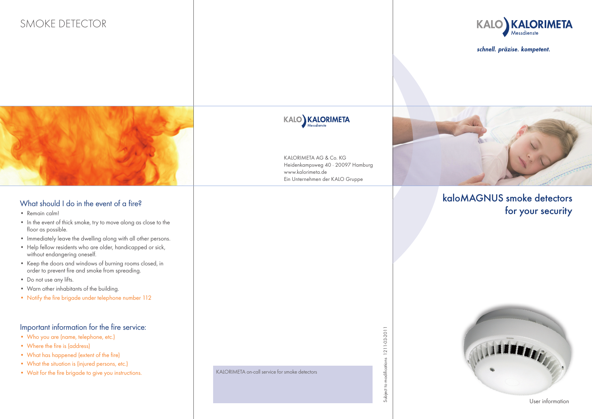# SMOKE DETECTOR



schnell. präzise. kompetent.



## What should I do in the event of a fire?

- • Remain calm!
- In the event of thick smoke, try to move along as close to the floor as possible.
- Immediately leave the dwelling along with all other persons.
- Help fellow residents who are older, handicapped or sick, without endangering oneself.
- • Keep the doors and windows of burning rooms closed, in order to prevent fire and smoke from spreading.
- Do not use any lifts.
- • Warn other inhabitants of the building.
- Notify the fire brigade under telephone number 112

#### Important information for the fire service:

- • Who you are (name, telephone, etc.)
- Where the fire is (address)
- • What has happened (extent of the fire)
- What the situation is (injured persons, etc.)
- Wait for the fire brigade to give you instructions.

KALORIMETA on-call service for smoke detectors

KALORIMETA AG & Co. KG

KALO KALORIMETA

www.kalorimeta.de



# kaloMAGNUS smoke detectors for your security